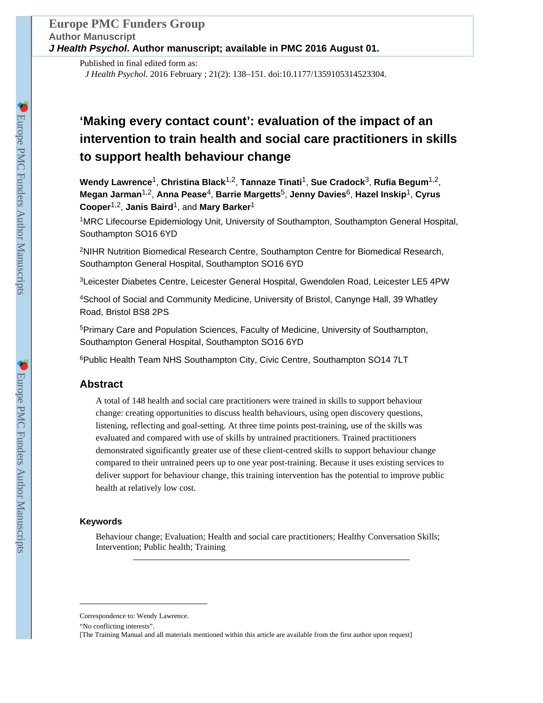Published in final edited form as: *J Health Psychol*. 2016 February ; 21(2): 138–151. doi:10.1177/1359105314523304.

# **'Making every contact count': evaluation of the impact of an intervention to train health and social care practitioners in skills to support health behaviour change**

**Wendy Lawrence**1, **Christina Black**1,2, **Tannaze Tinati**1, **Sue Cradock**3, **Rufia Begum**1,2, **Megan Jarman**1,2, **Anna Pease**4, **Barrie Margetts**5, **Jenny Davies**6, **Hazel Inskip**1, **Cyrus Cooper**1,2, **Janis Baird**1, and **Mary Barker**<sup>1</sup>

<sup>1</sup>MRC Lifecourse Epidemiology Unit, University of Southampton, Southampton General Hospital, Southampton SO16 6YD

<sup>2</sup>NIHR Nutrition Biomedical Research Centre, Southampton Centre for Biomedical Research, Southampton General Hospital, Southampton SO16 6YD

<sup>3</sup>Leicester Diabetes Centre, Leicester General Hospital, Gwendolen Road, Leicester LE5 4PW

<sup>4</sup>School of Social and Community Medicine, University of Bristol, Canynge Hall, 39 Whatley Road, Bristol BS8 2PS

<sup>5</sup>Primary Care and Population Sciences, Faculty of Medicine, University of Southampton, Southampton General Hospital, Southampton SO16 6YD

<sup>6</sup>Public Health Team NHS Southampton City, Civic Centre, Southampton SO14 7LT

# **Abstract**

A total of 148 health and social care practitioners were trained in skills to support behaviour change: creating opportunities to discuss health behaviours, using open discovery questions, listening, reflecting and goal-setting. At three time points post-training, use of the skills was evaluated and compared with use of skills by untrained practitioners. Trained practitioners demonstrated significantly greater use of these client-centred skills to support behaviour change compared to their untrained peers up to one year post-training. Because it uses existing services to deliver support for behaviour change, this training intervention has the potential to improve public health at relatively low cost.

## **Keywords**

Behaviour change; Evaluation; Health and social care practitioners; Healthy Conversation Skills; Intervention; Public health; Training

Correspondence to: Wendy Lawrence.

<sup>&</sup>quot;No conflicting interests".

<sup>[</sup>The Training Manual and all materials mentioned within this article are available from the first author upon request]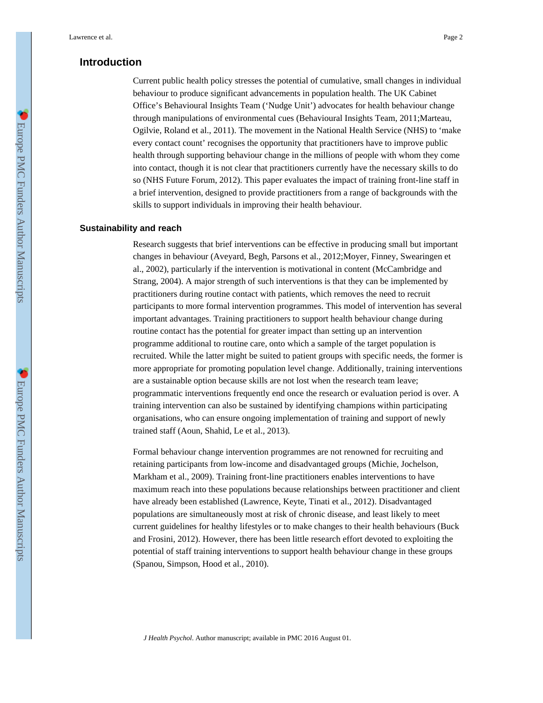## **Introduction**

Current public health policy stresses the potential of cumulative, small changes in individual behaviour to produce significant advancements in population health. The UK Cabinet Office's Behavioural Insights Team ('Nudge Unit') advocates for health behaviour change through manipulations of environmental cues (Behavioural Insights Team, 2011;Marteau, Ogilvie, Roland et al., 2011). The movement in the National Health Service (NHS) to 'make every contact count' recognises the opportunity that practitioners have to improve public health through supporting behaviour change in the millions of people with whom they come into contact, though it is not clear that practitioners currently have the necessary skills to do so (NHS Future Forum, 2012). This paper evaluates the impact of training front-line staff in a brief intervention, designed to provide practitioners from a range of backgrounds with the skills to support individuals in improving their health behaviour.

## **Sustainability and reach**

Research suggests that brief interventions can be effective in producing small but important changes in behaviour (Aveyard, Begh, Parsons et al., 2012;Moyer, Finney, Swearingen et al., 2002), particularly if the intervention is motivational in content (McCambridge and Strang, 2004). A major strength of such interventions is that they can be implemented by practitioners during routine contact with patients, which removes the need to recruit participants to more formal intervention programmes. This model of intervention has several important advantages. Training practitioners to support health behaviour change during routine contact has the potential for greater impact than setting up an intervention programme additional to routine care, onto which a sample of the target population is recruited. While the latter might be suited to patient groups with specific needs, the former is more appropriate for promoting population level change. Additionally, training interventions are a sustainable option because skills are not lost when the research team leave; programmatic interventions frequently end once the research or evaluation period is over. A training intervention can also be sustained by identifying champions within participating organisations, who can ensure ongoing implementation of training and support of newly trained staff (Aoun, Shahid, Le et al., 2013).

Formal behaviour change intervention programmes are not renowned for recruiting and retaining participants from low-income and disadvantaged groups (Michie, Jochelson, Markham et al., 2009). Training front-line practitioners enables interventions to have maximum reach into these populations because relationships between practitioner and client have already been established (Lawrence, Keyte, Tinati et al., 2012). Disadvantaged populations are simultaneously most at risk of chronic disease, and least likely to meet current guidelines for healthy lifestyles or to make changes to their health behaviours (Buck and Frosini, 2012). However, there has been little research effort devoted to exploiting the potential of staff training interventions to support health behaviour change in these groups (Spanou, Simpson, Hood et al., 2010).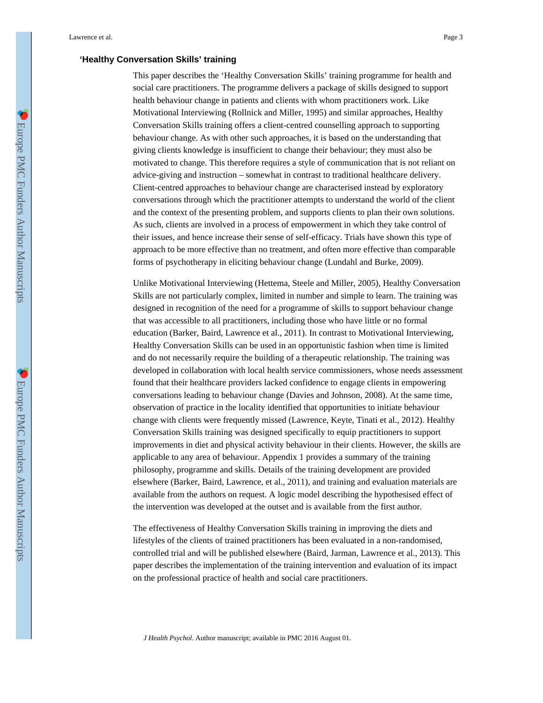## **'Healthy Conversation Skills' training**

This paper describes the 'Healthy Conversation Skills' training programme for health and social care practitioners. The programme delivers a package of skills designed to support health behaviour change in patients and clients with whom practitioners work. Like Motivational Interviewing (Rollnick and Miller, 1995) and similar approaches, Healthy Conversation Skills training offers a client-centred counselling approach to supporting behaviour change. As with other such approaches, it is based on the understanding that giving clients knowledge is insufficient to change their behaviour; they must also be motivated to change. This therefore requires a style of communication that is not reliant on advice-giving and instruction – somewhat in contrast to traditional healthcare delivery. Client-centred approaches to behaviour change are characterised instead by exploratory conversations through which the practitioner attempts to understand the world of the client and the context of the presenting problem, and supports clients to plan their own solutions. As such, clients are involved in a process of empowerment in which they take control of their issues, and hence increase their sense of self-efficacy. Trials have shown this type of approach to be more effective than no treatment, and often more effective than comparable forms of psychotherapy in eliciting behaviour change (Lundahl and Burke, 2009).

Unlike Motivational Interviewing (Hettema, Steele and Miller, 2005), Healthy Conversation Skills are not particularly complex, limited in number and simple to learn. The training was designed in recognition of the need for a programme of skills to support behaviour change that was accessible to all practitioners, including those who have little or no formal education (Barker, Baird, Lawrence et al., 2011). In contrast to Motivational Interviewing, Healthy Conversation Skills can be used in an opportunistic fashion when time is limited and do not necessarily require the building of a therapeutic relationship. The training was developed in collaboration with local health service commissioners, whose needs assessment found that their healthcare providers lacked confidence to engage clients in empowering conversations leading to behaviour change (Davies and Johnson, 2008). At the same time, observation of practice in the locality identified that opportunities to initiate behaviour change with clients were frequently missed (Lawrence, Keyte, Tinati et al., 2012). Healthy Conversation Skills training was designed specifically to equip practitioners to support improvements in diet and physical activity behaviour in their clients. However, the skills are applicable to any area of behaviour. Appendix 1 provides a summary of the training philosophy, programme and skills. Details of the training development are provided elsewhere (Barker, Baird, Lawrence, et al., 2011), and training and evaluation materials are available from the authors on request. A logic model describing the hypothesised effect of the intervention was developed at the outset and is available from the first author.

The effectiveness of Healthy Conversation Skills training in improving the diets and lifestyles of the clients of trained practitioners has been evaluated in a non-randomised, controlled trial and will be published elsewhere (Baird, Jarman, Lawrence et al., 2013). This paper describes the implementation of the training intervention and evaluation of its impact on the professional practice of health and social care practitioners.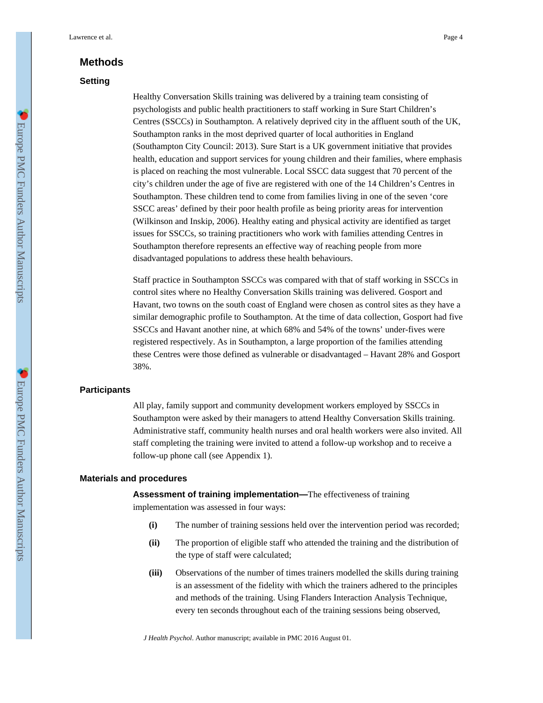# **Methods**

# **Setting**

Healthy Conversation Skills training was delivered by a training team consisting of psychologists and public health practitioners to staff working in Sure Start Children's Centres (SSCCs) in Southampton. A relatively deprived city in the affluent south of the UK, Southampton ranks in the most deprived quarter of local authorities in England (Southampton City Council: 2013). Sure Start is a UK government initiative that provides health, education and support services for young children and their families, where emphasis is placed on reaching the most vulnerable. Local SSCC data suggest that 70 percent of the city's children under the age of five are registered with one of the 14 Children's Centres in Southampton. These children tend to come from families living in one of the seven 'core SSCC areas' defined by their poor health profile as being priority areas for intervention (Wilkinson and Inskip, 2006). Healthy eating and physical activity are identified as target issues for SSCCs, so training practitioners who work with families attending Centres in Southampton therefore represents an effective way of reaching people from more disadvantaged populations to address these health behaviours.

Staff practice in Southampton SSCCs was compared with that of staff working in SSCCs in control sites where no Healthy Conversation Skills training was delivered. Gosport and Havant, two towns on the south coast of England were chosen as control sites as they have a similar demographic profile to Southampton. At the time of data collection, Gosport had five SSCCs and Havant another nine, at which 68% and 54% of the towns' under-fives were registered respectively. As in Southampton, a large proportion of the families attending these Centres were those defined as vulnerable or disadvantaged – Havant 28% and Gosport 38%.

## **Participants**

All play, family support and community development workers employed by SSCCs in Southampton were asked by their managers to attend Healthy Conversation Skills training. Administrative staff, community health nurses and oral health workers were also invited. All staff completing the training were invited to attend a follow-up workshop and to receive a follow-up phone call (see Appendix 1).

## **Materials and procedures**

**Assessment of training implementation—**The effectiveness of training implementation was assessed in four ways:

- **(i)** The number of training sessions held over the intervention period was recorded;
- **(ii)** The proportion of eligible staff who attended the training and the distribution of the type of staff were calculated;
- **(iii)** Observations of the number of times trainers modelled the skills during training is an assessment of the fidelity with which the trainers adhered to the principles and methods of the training. Using Flanders Interaction Analysis Technique, every ten seconds throughout each of the training sessions being observed,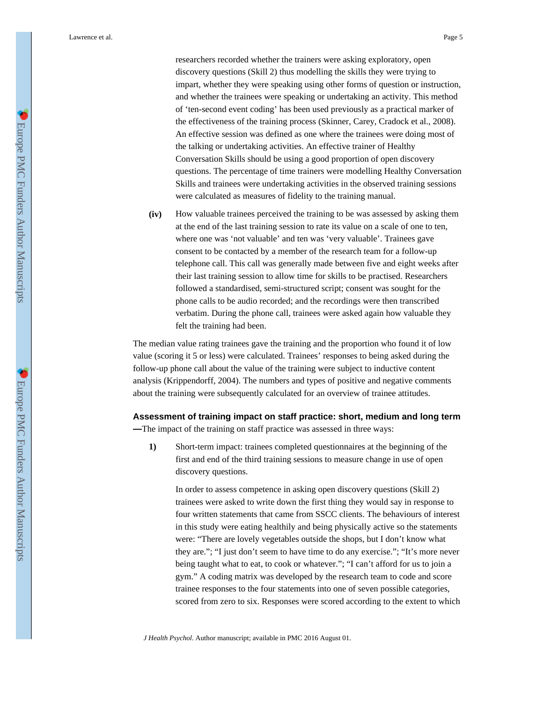researchers recorded whether the trainers were asking exploratory, open discovery questions (Skill 2) thus modelling the skills they were trying to impart, whether they were speaking using other forms of question or instruction, and whether the trainees were speaking or undertaking an activity. This method of 'ten-second event coding' has been used previously as a practical marker of the effectiveness of the training process (Skinner, Carey, Cradock et al., 2008). An effective session was defined as one where the trainees were doing most of the talking or undertaking activities. An effective trainer of Healthy Conversation Skills should be using a good proportion of open discovery questions. The percentage of time trainers were modelling Healthy Conversation Skills and trainees were undertaking activities in the observed training sessions were calculated as measures of fidelity to the training manual.

**(iv)** How valuable trainees perceived the training to be was assessed by asking them at the end of the last training session to rate its value on a scale of one to ten, where one was 'not valuable' and ten was 'very valuable'. Trainees gave consent to be contacted by a member of the research team for a follow-up telephone call. This call was generally made between five and eight weeks after their last training session to allow time for skills to be practised. Researchers followed a standardised, semi-structured script; consent was sought for the phone calls to be audio recorded; and the recordings were then transcribed verbatim. During the phone call, trainees were asked again how valuable they felt the training had been.

The median value rating trainees gave the training and the proportion who found it of low value (scoring it 5 or less) were calculated. Trainees' responses to being asked during the follow-up phone call about the value of the training were subject to inductive content analysis (Krippendorff, 2004). The numbers and types of positive and negative comments about the training were subsequently calculated for an overview of trainee attitudes.

## **Assessment of training impact on staff practice: short, medium and long term**

**—**The impact of the training on staff practice was assessed in three ways:

**1)** Short-term impact: trainees completed questionnaires at the beginning of the first and end of the third training sessions to measure change in use of open discovery questions.

In order to assess competence in asking open discovery questions (Skill 2) trainees were asked to write down the first thing they would say in response to four written statements that came from SSCC clients. The behaviours of interest in this study were eating healthily and being physically active so the statements were: "There are lovely vegetables outside the shops, but I don't know what they are."; "I just don't seem to have time to do any exercise."; "It's more never being taught what to eat, to cook or whatever."; "I can't afford for us to join a gym." A coding matrix was developed by the research team to code and score trainee responses to the four statements into one of seven possible categories, scored from zero to six. Responses were scored according to the extent to which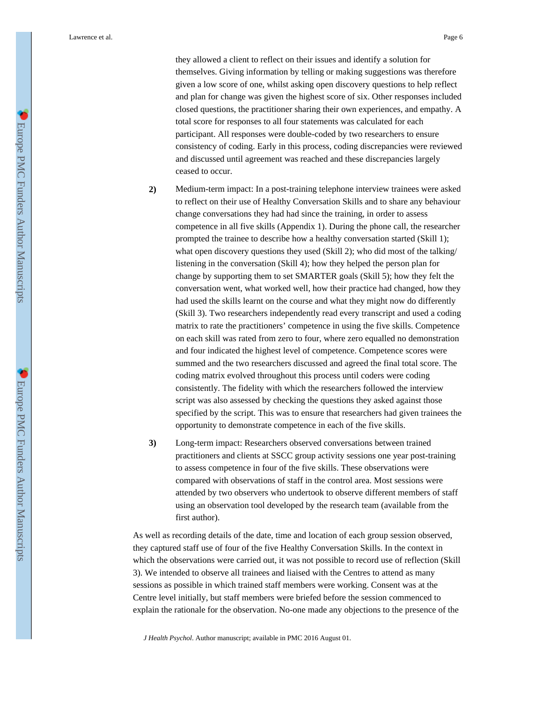they allowed a client to reflect on their issues and identify a solution for themselves. Giving information by telling or making suggestions was therefore given a low score of one, whilst asking open discovery questions to help reflect and plan for change was given the highest score of six. Other responses included closed questions, the practitioner sharing their own experiences, and empathy. A total score for responses to all four statements was calculated for each participant. All responses were double-coded by two researchers to ensure consistency of coding. Early in this process, coding discrepancies were reviewed and discussed until agreement was reached and these discrepancies largely ceased to occur.

- **2)** Medium-term impact: In a post-training telephone interview trainees were asked to reflect on their use of Healthy Conversation Skills and to share any behaviour change conversations they had had since the training, in order to assess competence in all five skills (Appendix 1). During the phone call, the researcher prompted the trainee to describe how a healthy conversation started (Skill 1); what open discovery questions they used (Skill 2); who did most of the talking/ listening in the conversation (Skill 4); how they helped the person plan for change by supporting them to set SMARTER goals (Skill 5); how they felt the conversation went, what worked well, how their practice had changed, how they had used the skills learnt on the course and what they might now do differently (Skill 3). Two researchers independently read every transcript and used a coding matrix to rate the practitioners' competence in using the five skills. Competence on each skill was rated from zero to four, where zero equalled no demonstration and four indicated the highest level of competence. Competence scores were summed and the two researchers discussed and agreed the final total score. The coding matrix evolved throughout this process until coders were coding consistently. The fidelity with which the researchers followed the interview script was also assessed by checking the questions they asked against those specified by the script. This was to ensure that researchers had given trainees the opportunity to demonstrate competence in each of the five skills.
- **3)** Long-term impact: Researchers observed conversations between trained practitioners and clients at SSCC group activity sessions one year post-training to assess competence in four of the five skills. These observations were compared with observations of staff in the control area. Most sessions were attended by two observers who undertook to observe different members of staff using an observation tool developed by the research team (available from the first author).

As well as recording details of the date, time and location of each group session observed, they captured staff use of four of the five Healthy Conversation Skills. In the context in which the observations were carried out, it was not possible to record use of reflection (Skill 3). We intended to observe all trainees and liaised with the Centres to attend as many sessions as possible in which trained staff members were working. Consent was at the Centre level initially, but staff members were briefed before the session commenced to explain the rationale for the observation. No-one made any objections to the presence of the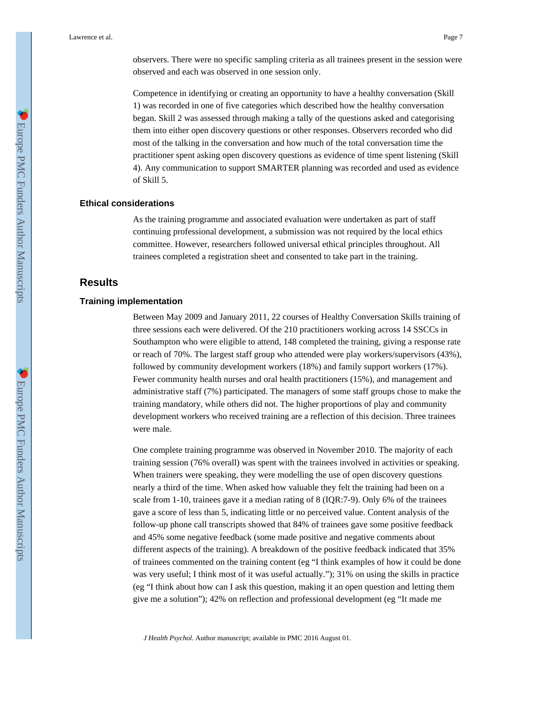observers. There were no specific sampling criteria as all trainees present in the session were observed and each was observed in one session only.

Competence in identifying or creating an opportunity to have a healthy conversation (Skill 1) was recorded in one of five categories which described how the healthy conversation began. Skill 2 was assessed through making a tally of the questions asked and categorising them into either open discovery questions or other responses. Observers recorded who did most of the talking in the conversation and how much of the total conversation time the practitioner spent asking open discovery questions as evidence of time spent listening (Skill 4). Any communication to support SMARTER planning was recorded and used as evidence of Skill 5.

#### **Ethical considerations**

As the training programme and associated evaluation were undertaken as part of staff continuing professional development, a submission was not required by the local ethics committee. However, researchers followed universal ethical principles throughout. All trainees completed a registration sheet and consented to take part in the training.

# **Results**

#### **Training implementation**

Between May 2009 and January 2011, 22 courses of Healthy Conversation Skills training of three sessions each were delivered. Of the 210 practitioners working across 14 SSCCs in Southampton who were eligible to attend, 148 completed the training, giving a response rate or reach of 70%. The largest staff group who attended were play workers/supervisors (43%), followed by community development workers (18%) and family support workers (17%). Fewer community health nurses and oral health practitioners (15%), and management and administrative staff (7%) participated. The managers of some staff groups chose to make the training mandatory, while others did not. The higher proportions of play and community development workers who received training are a reflection of this decision. Three trainees were male.

One complete training programme was observed in November 2010. The majority of each training session (76% overall) was spent with the trainees involved in activities or speaking. When trainers were speaking, they were modelling the use of open discovery questions nearly a third of the time. When asked how valuable they felt the training had been on a scale from 1-10, trainees gave it a median rating of 8 (IQR:7-9). Only 6% of the trainees gave a score of less than 5, indicating little or no perceived value. Content analysis of the follow-up phone call transcripts showed that 84% of trainees gave some positive feedback and 45% some negative feedback (some made positive and negative comments about different aspects of the training). A breakdown of the positive feedback indicated that 35% of trainees commented on the training content (eg "I think examples of how it could be done was very useful; I think most of it was useful actually."); 31% on using the skills in practice (eg "I think about how can I ask this question, making it an open question and letting them give me a solution"); 42% on reflection and professional development (eg "It made me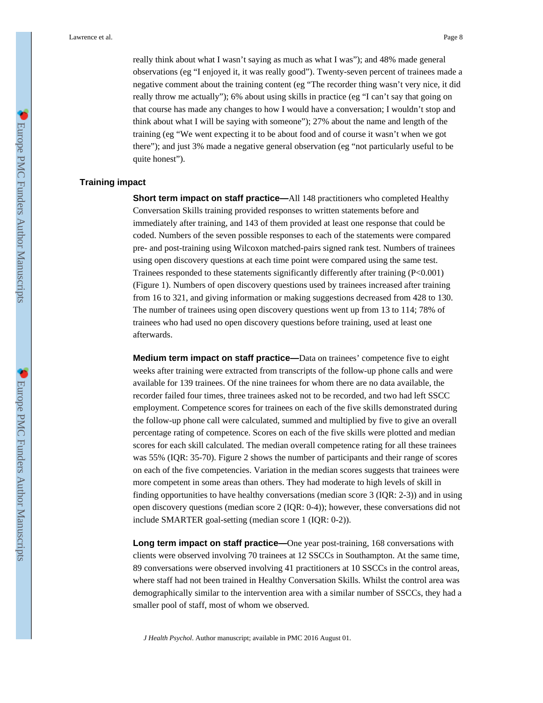really think about what I wasn't saying as much as what I was"); and 48% made general observations (eg "I enjoyed it, it was really good"). Twenty-seven percent of trainees made a negative comment about the training content (eg "The recorder thing wasn't very nice, it did really throw me actually"); 6% about using skills in practice (eg "I can't say that going on that course has made any changes to how I would have a conversation; I wouldn't stop and think about what I will be saying with someone"); 27% about the name and length of the training (eg "We went expecting it to be about food and of course it wasn't when we got there"); and just 3% made a negative general observation (eg "not particularly useful to be quite honest").

#### **Training impact**

**Short term impact on staff practice—All 148 practitioners who completed Healthy** Conversation Skills training provided responses to written statements before and immediately after training, and 143 of them provided at least one response that could be coded. Numbers of the seven possible responses to each of the statements were compared pre- and post-training using Wilcoxon matched-pairs signed rank test. Numbers of trainees using open discovery questions at each time point were compared using the same test. Trainees responded to these statements significantly differently after training (P<0.001) (Figure 1). Numbers of open discovery questions used by trainees increased after training from 16 to 321, and giving information or making suggestions decreased from 428 to 130. The number of trainees using open discovery questions went up from 13 to 114; 78% of trainees who had used no open discovery questions before training, used at least one afterwards.

**Medium term impact on staff practice—**Data on trainees' competence five to eight weeks after training were extracted from transcripts of the follow-up phone calls and were available for 139 trainees. Of the nine trainees for whom there are no data available, the recorder failed four times, three trainees asked not to be recorded, and two had left SSCC employment. Competence scores for trainees on each of the five skills demonstrated during the follow-up phone call were calculated, summed and multiplied by five to give an overall percentage rating of competence. Scores on each of the five skills were plotted and median scores for each skill calculated. The median overall competence rating for all these trainees was 55% (IQR: 35-70). Figure 2 shows the number of participants and their range of scores on each of the five competencies. Variation in the median scores suggests that trainees were more competent in some areas than others. They had moderate to high levels of skill in finding opportunities to have healthy conversations (median score 3 (IQR: 2-3)) and in using open discovery questions (median score 2 (IQR: 0-4)); however, these conversations did not include SMARTER goal-setting (median score 1 (IQR: 0-2)).

**Long term impact on staff practice—One year post-training, 168 conversations with** clients were observed involving 70 trainees at 12 SSCCs in Southampton. At the same time, 89 conversations were observed involving 41 practitioners at 10 SSCCs in the control areas, where staff had not been trained in Healthy Conversation Skills. Whilst the control area was demographically similar to the intervention area with a similar number of SSCCs, they had a smaller pool of staff, most of whom we observed.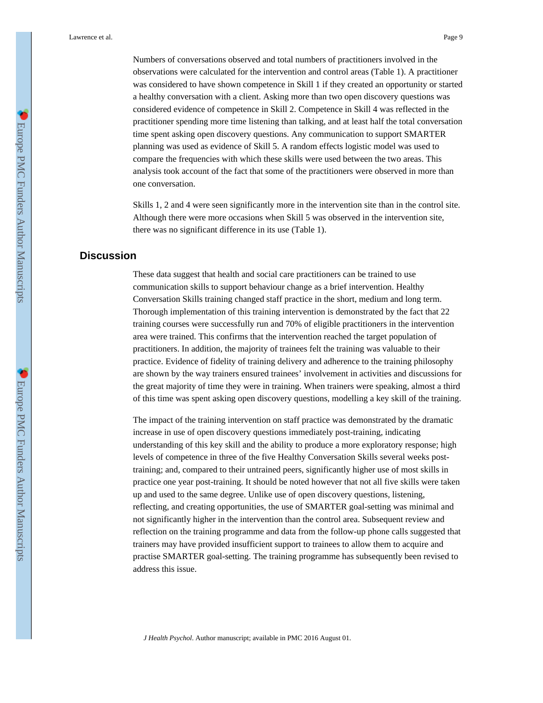Numbers of conversations observed and total numbers of practitioners involved in the observations were calculated for the intervention and control areas (Table 1). A practitioner was considered to have shown competence in Skill 1 if they created an opportunity or started a healthy conversation with a client. Asking more than two open discovery questions was considered evidence of competence in Skill 2. Competence in Skill 4 was reflected in the practitioner spending more time listening than talking, and at least half the total conversation time spent asking open discovery questions. Any communication to support SMARTER planning was used as evidence of Skill 5. A random effects logistic model was used to compare the frequencies with which these skills were used between the two areas. This analysis took account of the fact that some of the practitioners were observed in more than one conversation.

Skills 1, 2 and 4 were seen significantly more in the intervention site than in the control site. Although there were more occasions when Skill 5 was observed in the intervention site, there was no significant difference in its use (Table 1).

# **Discussion**

These data suggest that health and social care practitioners can be trained to use communication skills to support behaviour change as a brief intervention. Healthy Conversation Skills training changed staff practice in the short, medium and long term. Thorough implementation of this training intervention is demonstrated by the fact that 22 training courses were successfully run and 70% of eligible practitioners in the intervention area were trained. This confirms that the intervention reached the target population of practitioners. In addition, the majority of trainees felt the training was valuable to their practice. Evidence of fidelity of training delivery and adherence to the training philosophy are shown by the way trainers ensured trainees' involvement in activities and discussions for the great majority of time they were in training. When trainers were speaking, almost a third of this time was spent asking open discovery questions, modelling a key skill of the training.

The impact of the training intervention on staff practice was demonstrated by the dramatic increase in use of open discovery questions immediately post-training, indicating understanding of this key skill and the ability to produce a more exploratory response; high levels of competence in three of the five Healthy Conversation Skills several weeks posttraining; and, compared to their untrained peers, significantly higher use of most skills in practice one year post-training. It should be noted however that not all five skills were taken up and used to the same degree. Unlike use of open discovery questions, listening, reflecting, and creating opportunities, the use of SMARTER goal-setting was minimal and not significantly higher in the intervention than the control area. Subsequent review and reflection on the training programme and data from the follow-up phone calls suggested that trainers may have provided insufficient support to trainees to allow them to acquire and practise SMARTER goal-setting. The training programme has subsequently been revised to address this issue.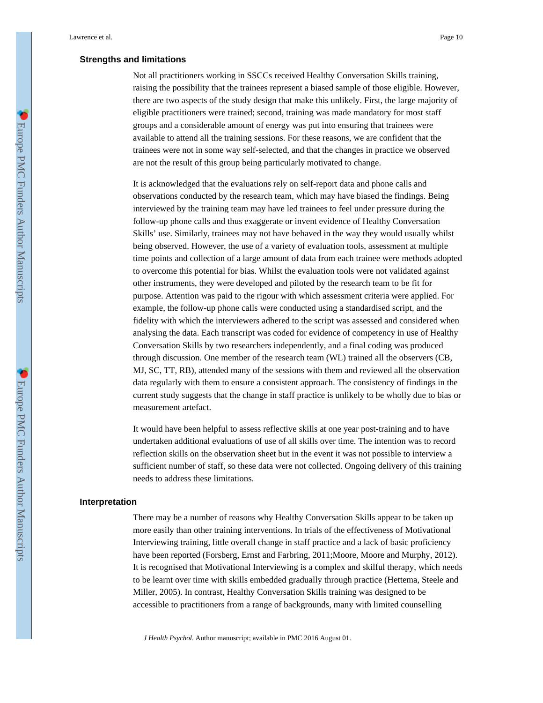## **Strengths and limitations**

Not all practitioners working in SSCCs received Healthy Conversation Skills training, raising the possibility that the trainees represent a biased sample of those eligible. However, there are two aspects of the study design that make this unlikely. First, the large majority of eligible practitioners were trained; second, training was made mandatory for most staff groups and a considerable amount of energy was put into ensuring that trainees were available to attend all the training sessions. For these reasons, we are confident that the trainees were not in some way self-selected, and that the changes in practice we observed are not the result of this group being particularly motivated to change.

It is acknowledged that the evaluations rely on self-report data and phone calls and observations conducted by the research team, which may have biased the findings. Being interviewed by the training team may have led trainees to feel under pressure during the follow-up phone calls and thus exaggerate or invent evidence of Healthy Conversation Skills' use. Similarly, trainees may not have behaved in the way they would usually whilst being observed. However, the use of a variety of evaluation tools, assessment at multiple time points and collection of a large amount of data from each trainee were methods adopted to overcome this potential for bias. Whilst the evaluation tools were not validated against other instruments, they were developed and piloted by the research team to be fit for purpose. Attention was paid to the rigour with which assessment criteria were applied. For example, the follow-up phone calls were conducted using a standardised script, and the fidelity with which the interviewers adhered to the script was assessed and considered when analysing the data. Each transcript was coded for evidence of competency in use of Healthy Conversation Skills by two researchers independently, and a final coding was produced through discussion. One member of the research team (WL) trained all the observers (CB, MJ, SC, TT, RB), attended many of the sessions with them and reviewed all the observation data regularly with them to ensure a consistent approach. The consistency of findings in the current study suggests that the change in staff practice is unlikely to be wholly due to bias or measurement artefact.

It would have been helpful to assess reflective skills at one year post-training and to have undertaken additional evaluations of use of all skills over time. The intention was to record reflection skills on the observation sheet but in the event it was not possible to interview a sufficient number of staff, so these data were not collected. Ongoing delivery of this training needs to address these limitations.

#### **Interpretation**

There may be a number of reasons why Healthy Conversation Skills appear to be taken up more easily than other training interventions. In trials of the effectiveness of Motivational Interviewing training, little overall change in staff practice and a lack of basic proficiency have been reported (Forsberg, Ernst and Farbring, 2011;Moore, Moore and Murphy, 2012). It is recognised that Motivational Interviewing is a complex and skilful therapy, which needs to be learnt over time with skills embedded gradually through practice (Hettema, Steele and Miller, 2005). In contrast, Healthy Conversation Skills training was designed to be accessible to practitioners from a range of backgrounds, many with limited counselling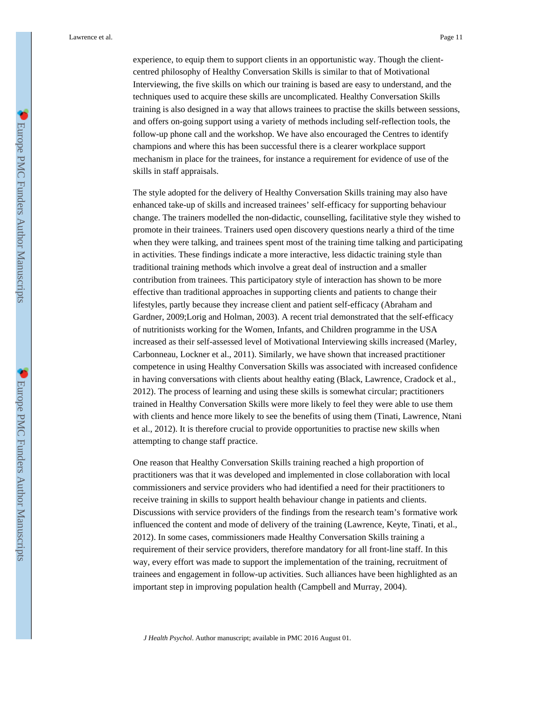experience, to equip them to support clients in an opportunistic way. Though the clientcentred philosophy of Healthy Conversation Skills is similar to that of Motivational Interviewing, the five skills on which our training is based are easy to understand, and the techniques used to acquire these skills are uncomplicated. Healthy Conversation Skills training is also designed in a way that allows trainees to practise the skills between sessions, and offers on-going support using a variety of methods including self-reflection tools, the follow-up phone call and the workshop. We have also encouraged the Centres to identify champions and where this has been successful there is a clearer workplace support mechanism in place for the trainees, for instance a requirement for evidence of use of the skills in staff appraisals.

The style adopted for the delivery of Healthy Conversation Skills training may also have enhanced take-up of skills and increased trainees' self-efficacy for supporting behaviour change. The trainers modelled the non-didactic, counselling, facilitative style they wished to promote in their trainees. Trainers used open discovery questions nearly a third of the time when they were talking, and trainees spent most of the training time talking and participating in activities. These findings indicate a more interactive, less didactic training style than traditional training methods which involve a great deal of instruction and a smaller contribution from trainees. This participatory style of interaction has shown to be more effective than traditional approaches in supporting clients and patients to change their lifestyles, partly because they increase client and patient self-efficacy (Abraham and Gardner, 2009;Lorig and Holman, 2003). A recent trial demonstrated that the self-efficacy of nutritionists working for the Women, Infants, and Children programme in the USA increased as their self-assessed level of Motivational Interviewing skills increased (Marley, Carbonneau, Lockner et al., 2011). Similarly, we have shown that increased practitioner competence in using Healthy Conversation Skills was associated with increased confidence in having conversations with clients about healthy eating (Black, Lawrence, Cradock et al., 2012). The process of learning and using these skills is somewhat circular; practitioners trained in Healthy Conversation Skills were more likely to feel they were able to use them with clients and hence more likely to see the benefits of using them (Tinati, Lawrence, Ntani et al., 2012). It is therefore crucial to provide opportunities to practise new skills when attempting to change staff practice.

One reason that Healthy Conversation Skills training reached a high proportion of practitioners was that it was developed and implemented in close collaboration with local commissioners and service providers who had identified a need for their practitioners to receive training in skills to support health behaviour change in patients and clients. Discussions with service providers of the findings from the research team's formative work influenced the content and mode of delivery of the training (Lawrence, Keyte, Tinati, et al., 2012). In some cases, commissioners made Healthy Conversation Skills training a requirement of their service providers, therefore mandatory for all front-line staff. In this way, every effort was made to support the implementation of the training, recruitment of trainees and engagement in follow-up activities. Such alliances have been highlighted as an important step in improving population health (Campbell and Murray, 2004).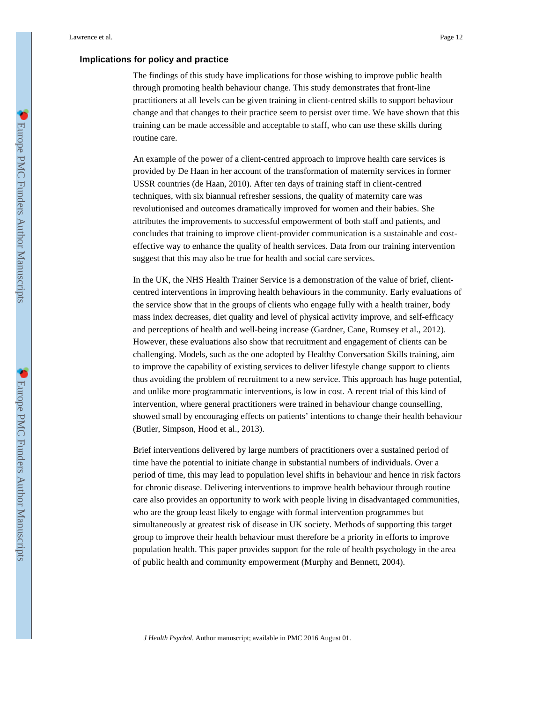## **Implications for policy and practice**

The findings of this study have implications for those wishing to improve public health through promoting health behaviour change. This study demonstrates that front-line practitioners at all levels can be given training in client-centred skills to support behaviour change and that changes to their practice seem to persist over time. We have shown that this training can be made accessible and acceptable to staff, who can use these skills during routine care.

An example of the power of a client-centred approach to improve health care services is provided by De Haan in her account of the transformation of maternity services in former USSR countries (de Haan, 2010). After ten days of training staff in client-centred techniques, with six biannual refresher sessions, the quality of maternity care was revolutionised and outcomes dramatically improved for women and their babies. She attributes the improvements to successful empowerment of both staff and patients, and concludes that training to improve client-provider communication is a sustainable and costeffective way to enhance the quality of health services. Data from our training intervention suggest that this may also be true for health and social care services.

In the UK, the NHS Health Trainer Service is a demonstration of the value of brief, clientcentred interventions in improving health behaviours in the community. Early evaluations of the service show that in the groups of clients who engage fully with a health trainer, body mass index decreases, diet quality and level of physical activity improve, and self-efficacy and perceptions of health and well-being increase (Gardner, Cane, Rumsey et al., 2012). However, these evaluations also show that recruitment and engagement of clients can be challenging. Models, such as the one adopted by Healthy Conversation Skills training, aim to improve the capability of existing services to deliver lifestyle change support to clients thus avoiding the problem of recruitment to a new service. This approach has huge potential, and unlike more programmatic interventions, is low in cost. A recent trial of this kind of intervention, where general practitioners were trained in behaviour change counselling, showed small by encouraging effects on patients' intentions to change their health behaviour (Butler, Simpson, Hood et al., 2013).

Brief interventions delivered by large numbers of practitioners over a sustained period of time have the potential to initiate change in substantial numbers of individuals. Over a period of time, this may lead to population level shifts in behaviour and hence in risk factors for chronic disease. Delivering interventions to improve health behaviour through routine care also provides an opportunity to work with people living in disadvantaged communities, who are the group least likely to engage with formal intervention programmes but simultaneously at greatest risk of disease in UK society. Methods of supporting this target group to improve their health behaviour must therefore be a priority in efforts to improve population health. This paper provides support for the role of health psychology in the area of public health and community empowerment (Murphy and Bennett, 2004).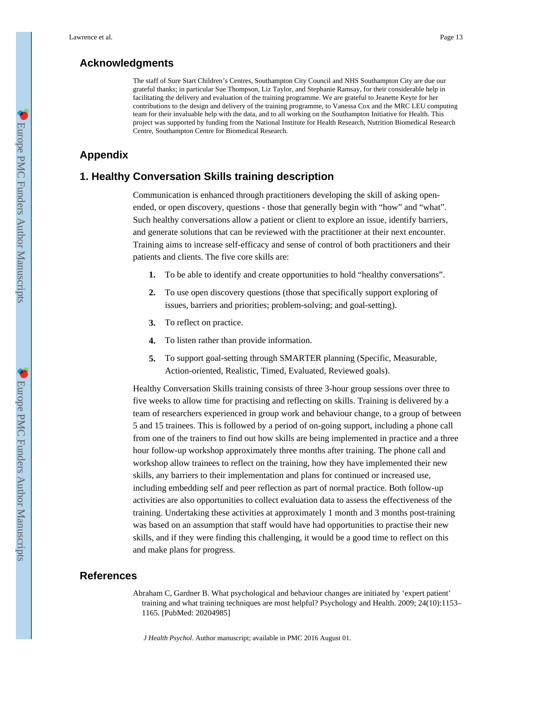# **Acknowledgments**

The staff of Sure Start Children's Centres, Southampton City Council and NHS Southampton City are due our grateful thanks; in particular Sue Thompson, Liz Taylor, and Stephanie Ramsay, for their considerable help in facilitating the delivery and evaluation of the training programme. We are grateful to Jeanette Keyte for her contributions to the design and delivery of the training programme, to Vanessa Cox and the MRC LEU computing team for their invaluable help with the data, and to all working on the Southampton Initiative for Health. This project was supported by funding from the National Institute for Health Research, Nutrition Biomedical Research Centre, Southampton Centre for Biomedical Research.

# **Appendix**

## **1. Healthy Conversation Skills training description**

Communication is enhanced through practitioners developing the skill of asking openended, or open discovery, questions - those that generally begin with "how" and "what". Such healthy conversations allow a patient or client to explore an issue, identify barriers, and generate solutions that can be reviewed with the practitioner at their next encounter. Training aims to increase self-efficacy and sense of control of both practitioners and their patients and clients. The five core skills are:

- **1.** To be able to identify and create opportunities to hold "healthy conversations".
- **2.** To use open discovery questions (those that specifically support exploring of issues, barriers and priorities; problem-solving; and goal-setting).
- **3.** To reflect on practice.
- **4.** To listen rather than provide information.
- **5.** To support goal-setting through SMARTER planning (Specific, Measurable, Action-oriented, Realistic, Timed, Evaluated, Reviewed goals).

Healthy Conversation Skills training consists of three 3-hour group sessions over three to five weeks to allow time for practising and reflecting on skills. Training is delivered by a team of researchers experienced in group work and behaviour change, to a group of between 5 and 15 trainees. This is followed by a period of on-going support, including a phone call from one of the trainers to find out how skills are being implemented in practice and a three hour follow-up workshop approximately three months after training. The phone call and workshop allow trainees to reflect on the training, how they have implemented their new skills, any barriers to their implementation and plans for continued or increased use, including embedding self and peer reflection as part of normal practice. Both follow-up activities are also opportunities to collect evaluation data to assess the effectiveness of the training. Undertaking these activities at approximately 1 month and 3 months post-training was based on an assumption that staff would have had opportunities to practise their new skills, and if they were finding this challenging, it would be a good time to reflect on this and make plans for progress.

# **References**

Abraham C, Gardner B. What psychological and behaviour changes are initiated by 'expert patient' training and what training techniques are most helpful? Psychology and Health. 2009; 24(10):1153– 1165. [PubMed: 20204985]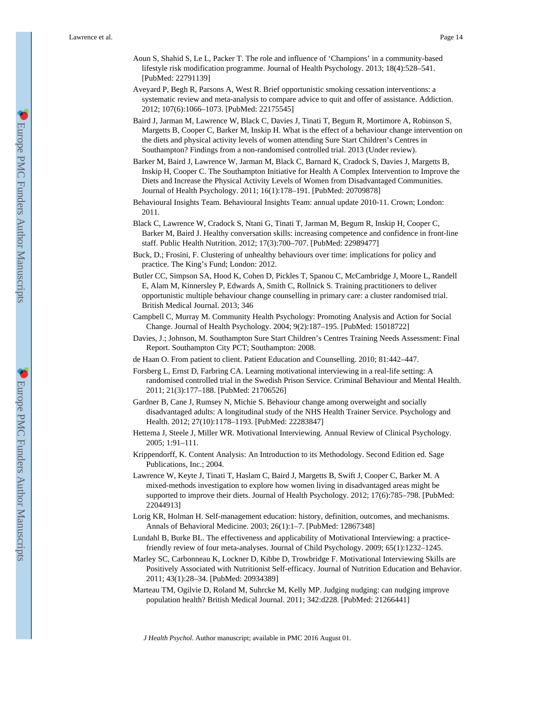- Aoun S, Shahid S, Le L, Packer T. The role and influence of 'Champions' in a community-based lifestyle risk modification programme. Journal of Health Psychology. 2013; 18(4):528–541. [PubMed: 22791139]
- Aveyard P, Begh R, Parsons A, West R. Brief opportunistic smoking cessation interventions: a systematic review and meta-analysis to compare advice to quit and offer of assistance. Addiction. 2012; 107(6):1066–1073. [PubMed: 22175545]
- Baird J, Jarman M, Lawrence W, Black C, Davies J, Tinati T, Begum R, Mortimore A, Robinson S, Margetts B, Cooper C, Barker M, Inskip H. What is the effect of a behaviour change intervention on the diets and physical activity levels of women attending Sure Start Children's Centres in Southampton? Findings from a non-randomised controlled trial. 2013 (Under review).
- Barker M, Baird J, Lawrence W, Jarman M, Black C, Barnard K, Cradock S, Davies J, Margetts B, Inskip H, Cooper C. The Southampton Initiative for Health A Complex Intervention to Improve the Diets and Increase the Physical Activity Levels of Women from Disadvantaged Communities. Journal of Health Psychology. 2011; 16(1):178–191. [PubMed: 20709878]
- Behavioural Insights Team. Behavioural Insights Team: annual update 2010-11. Crown; London: 2011.
- Black C, Lawrence W, Cradock S, Ntani G, Tinati T, Jarman M, Begum R, Inskip H, Cooper C, Barker M, Baird J. Healthy conversation skills: increasing competence and confidence in front-line staff. Public Health Nutrition. 2012; 17(3):700–707. [PubMed: 22989477]
- Buck, D.; Frosini, F. Clustering of unhealthy behaviours over time: implications for policy and practice. The King's Fund; London: 2012.
- Butler CC, Simpson SA, Hood K, Cohen D, Pickles T, Spanou C, McCambridge J, Moore L, Randell E, Alam M, Kinnersley P, Edwards A, Smith C, Rollnick S. Training practitioners to deliver opportunistic multiple behaviour change counselling in primary care: a cluster randomised trial. British Medical Journal. 2013; 346
- Campbell C, Murray M. Community Health Psychology: Promoting Analysis and Action for Social Change. Journal of Health Psychology. 2004; 9(2):187–195. [PubMed: 15018722]
- Davies, J.; Johnson, M. Southampton Sure Start Children's Centres Training Needs Assessment: Final Report. Southampton City PCT; Southampton: 2008.
- de Haan O. From patient to client. Patient Education and Counselling. 2010; 81:442–447.
- Forsberg L, Ernst D, Farbring CA. Learning motivational interviewing in a real-life setting: A randomised controlled trial in the Swedish Prison Service. Criminal Behaviour and Mental Health. 2011; 21(3):177–188. [PubMed: 21706526]
- Gardner B, Cane J, Rumsey N, Michie S. Behaviour change among overweight and socially disadvantaged adults: A longitudinal study of the NHS Health Trainer Service. Psychology and Health. 2012; 27(10):1178–1193. [PubMed: 22283847]
- Hettema J, Steele J, Miller WR. Motivational Interviewing. Annual Review of Clinical Psychology. 2005; 1:91–111.
- Krippendorff, K. Content Analysis: An Introduction to its Methodology. Second Edition ed. Sage Publications, Inc.; 2004.
- Lawrence W, Keyte J, Tinati T, Haslam C, Baird J, Margetts B, Swift J, Cooper C, Barker M. A mixed-methods investigation to explore how women living in disadvantaged areas might be supported to improve their diets. Journal of Health Psychology. 2012; 17(6):785–798. [PubMed: 22044913]
- Lorig KR, Holman H. Self-management education: history, definition, outcomes, and mechanisms. Annals of Behavioral Medicine. 2003; 26(1):1–7. [PubMed: 12867348]
- Lundahl B, Burke BL. The effectiveness and applicability of Motivational Interviewing: a practicefriendly review of four meta-analyses. Journal of Child Psychology. 2009; 65(1):1232–1245.
- Marley SC, Carbonneau K, Lockner D, Kibbe D, Trowbridge F. Motivational Interviewing Skills are Positively Associated with Nutritionist Self-efficacy. Journal of Nutrition Education and Behavior. 2011; 43(1):28–34. [PubMed: 20934389]
- Marteau TM, Ogilvie D, Roland M, Suhrcke M, Kelly MP. Judging nudging: can nudging improve population health? British Medical Journal. 2011; 342:d228. [PubMed: 21266441]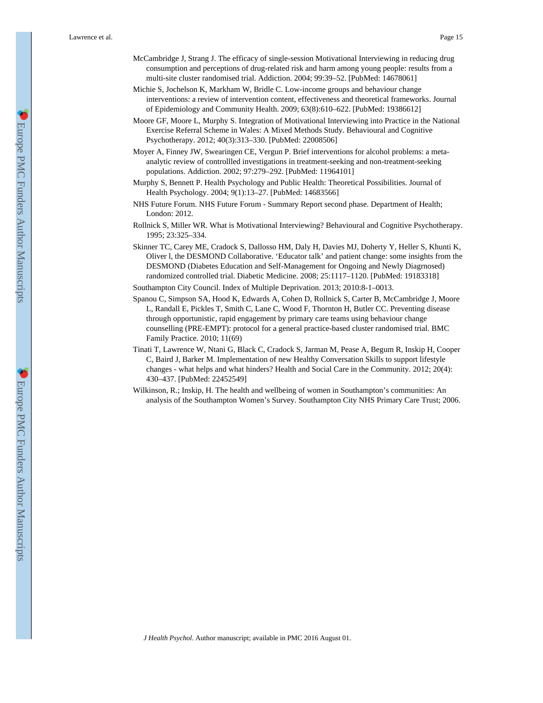- McCambridge J, Strang J. The efficacy of single-session Motivational Interviewing in reducing drug consumption and perceptions of drug-related risk and harm among young people: results from a multi-site cluster randomised trial. Addiction. 2004; 99:39–52. [PubMed: 14678061]
- Michie S, Jochelson K, Markham W, Bridle C. Low-income groups and behaviour change interventions: a review of intervention content, effectiveness and theoretical frameworks. Journal of Epidemiology and Community Health. 2009; 63(8):610–622. [PubMed: 19386612]
- Moore GF, Moore L, Murphy S. Integration of Motivational Interviewing into Practice in the National Exercise Referral Scheme in Wales: A Mixed Methods Study. Behavioural and Cognitive Psychotherapy. 2012; 40(3):313–330. [PubMed: 22008506]
- Moyer A, Finney JW, Swearingen CE, Vergun P. Brief interventions for alcohol problems: a metaanalytic review of controllled investigations in treatment-seeking and non-treatment-seeking populations. Addiction. 2002; 97:279–292. [PubMed: 11964101]
- Murphy S, Bennett P. Health Psychology and Public Health: Theoretical Possibilities. Journal of Health Psychology. 2004; 9(1):13–27. [PubMed: 14683566]
- NHS Future Forum. NHS Future Forum Summary Report second phase. Department of Health; London: 2012.
- Rollnick S, Miller WR. What is Motivational Interviewing? Behavioural and Cognitive Psychotherapy. 1995; 23:325–334.
- Skinner TC, Carey ME, Cradock S, Dallosso HM, Daly H, Davies MJ, Doherty Y, Heller S, Khunti K, Oliver l, the DESMOND Collaborative. 'Educator talk' and patient change: some insights from the DESMOND (Diabetes Education and Self-Management for Ongoing and Newly Diagrnosed) randomized controlled trial. Diabetic Medicine. 2008; 25:1117–1120. [PubMed: 19183318]
- Southampton City Council. Index of Multiple Deprivation. 2013; 2010:8-1–0013.
- Spanou C, Simpson SA, Hood K, Edwards A, Cohen D, Rollnick S, Carter B, McCambridge J, Moore L, Randall E, Pickles T, Smith C, Lane C, Wood F, Thornton H, Butler CC. Preventing disease through opportunistic, rapid engagement by primary care teams using behaviour change counselling (PRE-EMPT): protocol for a general practice-based cluster randomised trial. BMC Family Practice. 2010; 11(69)
- Tinati T, Lawrence W, Ntani G, Black C, Cradock S, Jarman M, Pease A, Begum R, Inskip H, Cooper C, Baird J, Barker M. Implementation of new Healthy Conversation Skills to support lifestyle changes - what helps and what hinders? Health and Social Care in the Community. 2012; 20(4): 430–437. [PubMed: 22452549]
- Wilkinson, R.; Inskip, H. The health and wellbeing of women in Southampton's communities: An analysis of the Southampton Women's Survey. Southampton City NHS Primary Care Trust; 2006.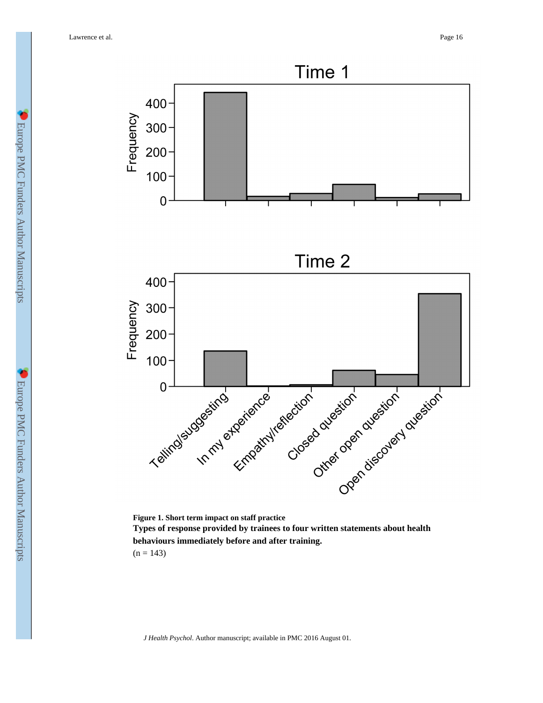





**Figure 1. Short term impact on staff practice Types of response provided by trainees to four written statements about health behaviours immediately before and after training.**   $(n = 143)$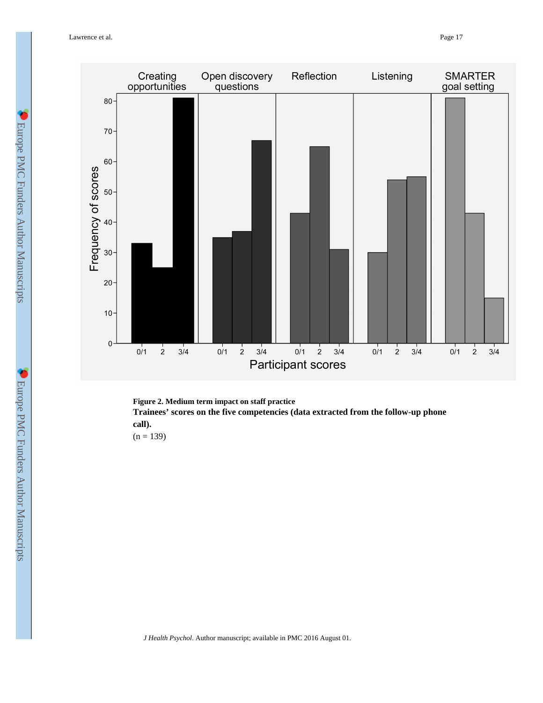

**Figure 2. Medium term impact on staff practice Trainees' scores on the five competencies (data extracted from the follow-up phone call).** 

 $(n = 139)$